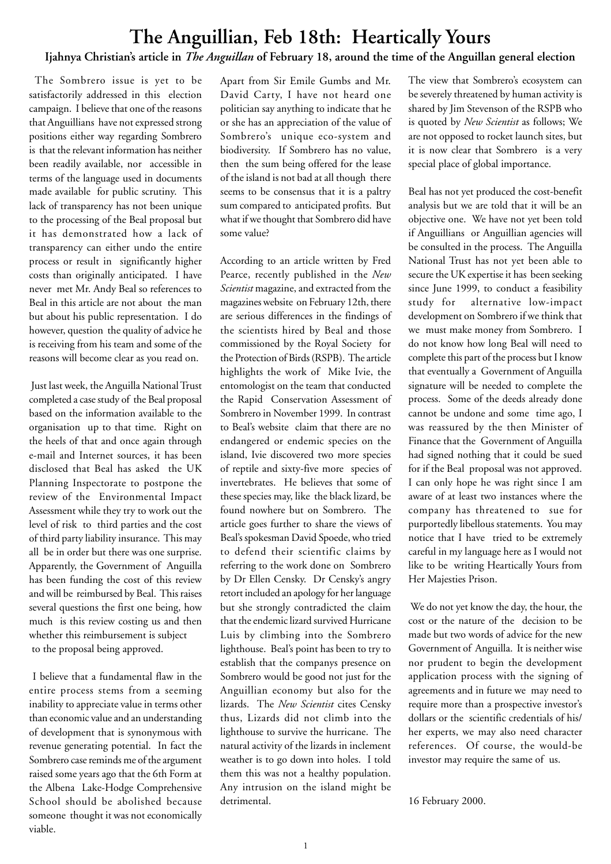# **The Anguillian, Feb 18th: Heartically Yours**

### **Ijahnya Christian's article in** *The Anguillan* **of February 18, around the time of the Anguillan general election**

 The Sombrero issue is yet to be satisfactorily addressed in this election campaign. I believe that one of the reasons that Anguillians have not expressed strong positions either way regarding Sombrero is that the relevant information has neither been readily available, nor accessible in terms of the language used in documents made available for public scrutiny. This lack of transparency has not been unique to the processing of the Beal proposal but it has demonstrated how a lack of transparency can either undo the entire process or result in significantly higher costs than originally anticipated. I have never met Mr. Andy Beal so references to Beal in this article are not about the man but about his public representation. I do however, question the quality of advice he is receiving from his team and some of the reasons will become clear as you read on.

 Just last week, the Anguilla National Trust completed a case study of the Beal proposal based on the information available to the organisation up to that time. Right on the heels of that and once again through e-mail and Internet sources, it has been disclosed that Beal has asked the UK Planning Inspectorate to postpone the review of the Environmental Impact Assessment while they try to work out the level of risk to third parties and the cost of third party liability insurance. This may all be in order but there was one surprise. Apparently, the Government of Anguilla has been funding the cost of this review and will be reimbursed by Beal. This raises several questions the first one being, how much is this review costing us and then whether this reimbursement is subject to the proposal being approved.

 I believe that a fundamental flaw in the entire process stems from a seeming inability to appreciate value in terms other than economic value and an understanding of development that is synonymous with revenue generating potential. In fact the Sombrero case reminds me of the argument raised some years ago that the 6th Form at the Albena Lake-Hodge Comprehensive School should be abolished because someone thought it was not economically viable.

Apart from Sir Emile Gumbs and Mr. David Carty, I have not heard one politician say anything to indicate that he or she has an appreciation of the value of Sombrero's unique eco-system and biodiversity. If Sombrero has no value, then the sum being offered for the lease of the island is not bad at all though there seems to be consensus that it is a paltry sum compared to anticipated profits. But what if we thought that Sombrero did have some value?

According to an article written by Fred Pearce, recently published in the *New Scientist* magazine, and extracted from the magazines website on February 12th, there are serious differences in the findings of the scientists hired by Beal and those commissioned by the Royal Society for the Protection of Birds (RSPB). The article highlights the work of Mike Ivie, the entomologist on the team that conducted the Rapid Conservation Assessment of Sombrero in November 1999. In contrast to Beal's website claim that there are no endangered or endemic species on the island, Ivie discovered two more species of reptile and sixty-five more species of invertebrates. He believes that some of these species may, like the black lizard, be found nowhere but on Sombrero. The article goes further to share the views of Beal's spokesman David Spoede, who tried to defend their scientific claims by referring to the work done on Sombrero by Dr Ellen Censky. Dr Censky's angry retort included an apology for her language but she strongly contradicted the claim that the endemic lizard survived Hurricane Luis by climbing into the Sombrero lighthouse. Beal's point has been to try to establish that the companys presence on Sombrero would be good not just for the Anguillian economy but also for the lizards. The *New Scientist* cites Censky thus, Lizards did not climb into the lighthouse to survive the hurricane. The natural activity of the lizards in inclement weather is to go down into holes. I told them this was not a healthy population. Any intrusion on the island might be detrimental.

The view that Sombrero's ecosystem can be severely threatened by human activity is shared by Jim Stevenson of the RSPB who is quoted by *New Scientist* as follows; We are not opposed to rocket launch sites, but it is now clear that Sombrero is a very special place of global importance.

Beal has not yet produced the cost-benefit analysis but we are told that it will be an objective one. We have not yet been told if Anguillians or Anguillian agencies will be consulted in the process. The Anguilla National Trust has not yet been able to secure the UK expertise it has been seeking since June 1999, to conduct a feasibility study for alternative low-impact development on Sombrero if we think that we must make money from Sombrero. I do not know how long Beal will need to complete this part of the process but I know that eventually a Government of Anguilla signature will be needed to complete the process. Some of the deeds already done cannot be undone and some time ago, I was reassured by the then Minister of Finance that the Government of Anguilla had signed nothing that it could be sued for if the Beal proposal was not approved. I can only hope he was right since I am aware of at least two instances where the company has threatened to sue for purportedly libellous statements. You may notice that I have tried to be extremely careful in my language here as I would not like to be writing Heartically Yours from Her Majesties Prison.

 We do not yet know the day, the hour, the cost or the nature of the decision to be made but two words of advice for the new Government of Anguilla. It is neither wise nor prudent to begin the development application process with the signing of agreements and in future we may need to require more than a prospective investor's dollars or the scientific credentials of his/ her experts, we may also need character references. Of course, the would-be investor may require the same of us.

16 February 2000.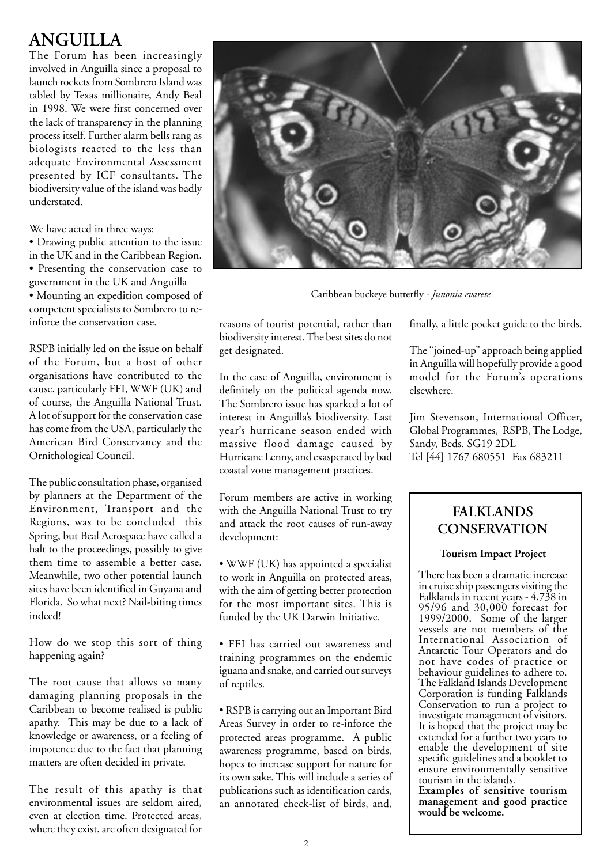## **ANGUILLA**

The Forum has been increasingly involved in Anguilla since a proposal to launch rockets from Sombrero Island was tabled by Texas millionaire, Andy Beal in 1998. We were first concerned over the lack of transparency in the planning process itself. Further alarm bells rang as biologists reacted to the less than adequate Environmental Assessment presented by ICF consultants. The biodiversity value of the island was badly understated.

We have acted in three ways:

• Drawing public attention to the issue in the UK and in the Caribbean Region. • Presenting the conservation case to government in the UK and Anguilla • Mounting an expedition composed of competent specialists to Sombrero to reinforce the conservation case.

RSPB initially led on the issue on behalf of the Forum, but a host of other organisations have contributed to the cause, particularly FFI, WWF (UK) and of course, the Anguilla National Trust. A lot of support for the conservation case has come from the USA, particularly the American Bird Conservancy and the Ornithological Council.

The public consultation phase, organised by planners at the Department of the Environment, Transport and the Regions, was to be concluded this Spring, but Beal Aerospace have called a halt to the proceedings, possibly to give them time to assemble a better case. Meanwhile, two other potential launch sites have been identified in Guyana and Florida. So what next? Nail-biting times indeed!

How do we stop this sort of thing happening again?

The root cause that allows so many damaging planning proposals in the Caribbean to become realised is public apathy. This may be due to a lack of knowledge or awareness, or a feeling of impotence due to the fact that planning matters are often decided in private.

The result of this apathy is that environmental issues are seldom aired, even at election time. Protected areas, where they exist, are often designated for



Caribbean buckeye butterfly - *Junonia evarete*

reasons of tourist potential, rather than biodiversity interest. The best sites do not get designated.

In the case of Anguilla, environment is definitely on the political agenda now. The Sombrero issue has sparked a lot of interest in Anguilla's biodiversity. Last year's hurricane season ended with massive flood damage caused by Hurricane Lenny, and exasperated by bad coastal zone management practices.

Forum members are active in working with the Anguilla National Trust to try and attack the root causes of run-away development:

• WWF (UK) has appointed a specialist to work in Anguilla on protected areas, with the aim of getting better protection for the most important sites. This is funded by the UK Darwin Initiative.

- FFI has carried out awareness and training programmes on the endemic iguana and snake, and carried out surveys of reptiles.
- RSPB is carrying out an Important Bird Areas Survey in order to re-inforce the protected areas programme. A public awareness programme, based on birds, hopes to increase support for nature for its own sake. This will include a series of publications such as identification cards, an annotated check-list of birds, and,

finally, a little pocket guide to the birds.

The "joined-up" approach being applied in Anguilla will hopefully provide a good model for the Forum's operations elsewhere.

Jim Stevenson, International Officer, Global Programmes, RSPB, The Lodge, Sandy, Beds. SG19 2DL Tel [44] 1767 680551 Fax 683211

### **FALKLANDS CONSERVATION**

#### **Tourism Impact Project**

There has been a dramatic increase in cruise ship passengers visiting the Falklands in recent years - 4,738 in 95/96 and 30,000 forecast for 1999/2000. Some of the larger vessels are not members of the International Association of Antarctic Tour Operators and do not have codes of practice or behaviour guidelines to adhere to. The Falkland Islands Development Corporation is funding Falklands Conservation to run a project to investigate management of visitors. It is hoped that the project may be extended for a further two years to enable the development of site specific guidelines and a booklet to ensure environmentally sensitive tourism in the islands. **Examples of sensitive tourism**

**management and good practice would be welcome.**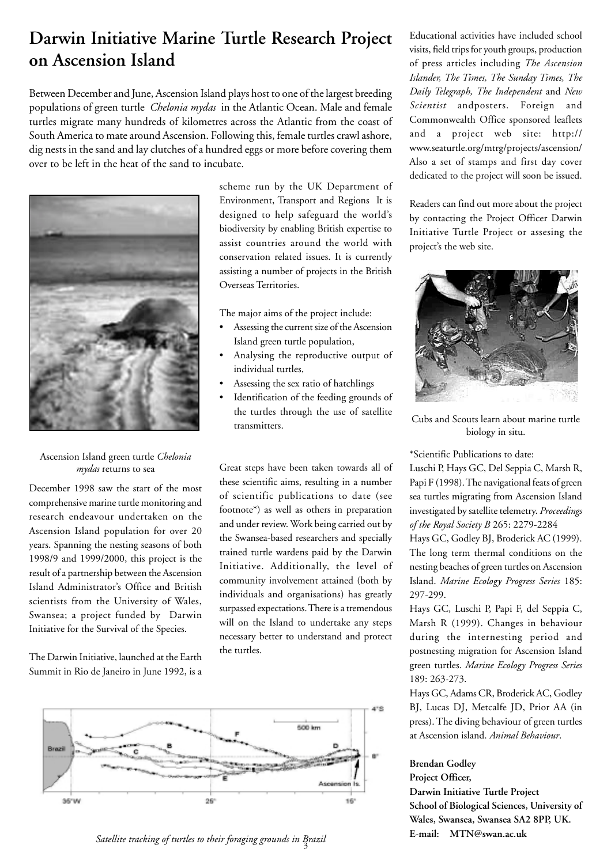## **Darwin Initiative Marine Turtle Research Project on Ascension Island**

Between December and June, Ascension Island plays host to one of the largest breeding populations of green turtle *Chelonia mydas* in the Atlantic Ocean. Male and female turtles migrate many hundreds of kilometres across the Atlantic from the coast of South America to mate around Ascension. Following this, female turtles crawl ashore, dig nests in the sand and lay clutches of a hundred eggs or more before covering them over to be left in the heat of the sand to incubate.



#### Ascension Island green turtle *Chelonia mydas* returns to sea

December 1998 saw the start of the most comprehensive marine turtle monitoring and research endeavour undertaken on the Ascension Island population for over 20 years. Spanning the nesting seasons of both 1998/9 and 1999/2000, this project is the result of a partnership between the Ascension Island Administrator's Office and British scientists from the University of Wales, Swansea; a project funded by Darwin Initiative for the Survival of the Species.

The Darwin Initiative, launched at the Earth Summit in Rio de Janeiro in June 1992, is a scheme run by the UK Department of Environment, Transport and Regions It is designed to help safeguard the world's biodiversity by enabling British expertise to assist countries around the world with conservation related issues. It is currently assisting a number of projects in the British Overseas Territories.

The major aims of the project include:

- Assessing the current size of the Ascension Island green turtle population,
- Analysing the reproductive output of individual turtles,
- Assessing the sex ratio of hatchlings
- Identification of the feeding grounds of the turtles through the use of satellite transmitters.

Great steps have been taken towards all of these scientific aims, resulting in a number of scientific publications to date (see footnote\*) as well as others in preparation and under review. Work being carried out by the Swansea-based researchers and specially trained turtle wardens paid by the Darwin Initiative. Additionally, the level of community involvement attained (both by individuals and organisations) has greatly surpassed expectations. There is a tremendous will on the Island to undertake any steps necessary better to understand and protect the turtles.



3 *Satellite tracking of turtles to their foraging grounds in Brazil*

Educational activities have included school visits, field trips for youth groups, production of press articles including *The Ascension Islander, The Times, The Sunday Times, The Daily Telegraph, The Independent* and *New Scientist* andposters. Foreign and Commonwealth Office sponsored leaflets and a project web site: http:// www.seaturtle.org/mtrg/projects/ascension/ Also a set of stamps and first day cover dedicated to the project will soon be issued.

Readers can find out more about the project by contacting the Project Officer Darwin Initiative Turtle Project or assesing the project's the web site.



Cubs and Scouts learn about marine turtle biology in situ.

\*Scientific Publications to date:

Luschi P, Hays GC, Del Seppia C, Marsh R, Papi F (1998). The navigational feats of green sea turtles migrating from Ascension Island investigated by satellite telemetry. *Proceedings of the Royal Society B* 265: 2279-2284

Hays GC, Godley BJ, Broderick AC (1999). The long term thermal conditions on the nesting beaches of green turtles on Ascension Island. *Marine Ecology Progress Series* 185: 297-299.

Hays GC, Luschi P, Papi F, del Seppia C, Marsh R (1999). Changes in behaviour during the internesting period and postnesting migration for Ascension Island green turtles. *Marine Ecology Progress Series* 189: 263-273.

Hays GC, Adams CR, Broderick AC, Godley BJ, Lucas DJ, Metcalfe JD, Prior AA (in press). The diving behaviour of green turtles at Ascension island. *Animal Behaviour*.

#### **Brendan Godley**

**Project Officer, Darwin Initiative Turtle Project School of Biological Sciences, University of Wales, Swansea, Swansea SA2 8PP, UK. E-mail: MTN@swan.ac.uk**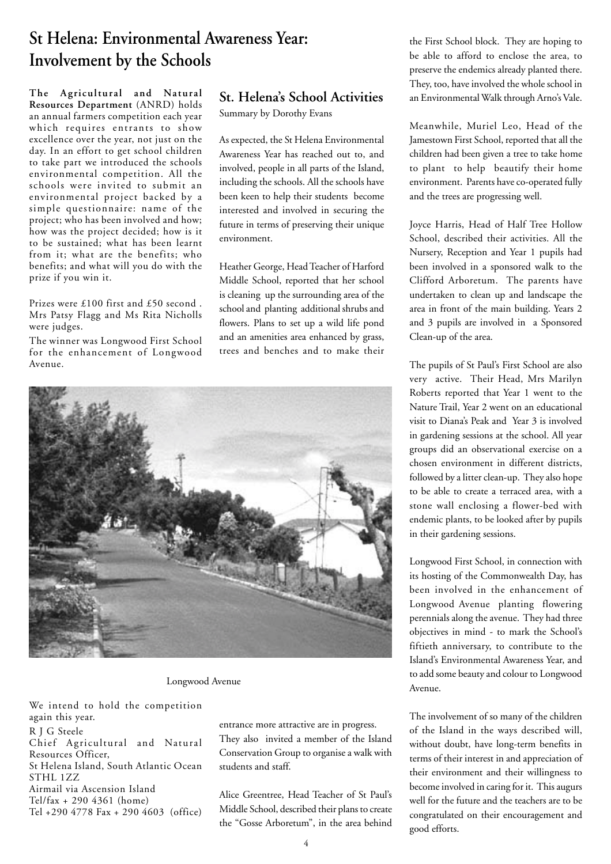## **St Helena: Environmental Awareness Year: Involvement by the Schools**

**The Agricultural and Natural Resources Department** (ANRD) holds an annual farmers competition each year which requires entrants to show excellence over the year, not just on the day. In an effort to get school children to take part we introduced the schools environmental competition. All the schools were invited to submit an environmental project backed by a simple questionnaire: name of the project; who has been involved and how; how was the project decided; how is it to be sustained; what has been learnt from it; what are the benefits; who benefits; and what will you do with the prize if you win it.

Prizes were £100 first and £50 second . Mrs Patsy Flagg and Ms Rita Nicholls were judges.

The winner was Longwood First School for the enhancement of Longwood Avenue.

### **St. Helena's School Activities**

Summary by Dorothy Evans

As expected, the St Helena Environmental Awareness Year has reached out to, and involved, people in all parts of the Island, including the schools. All the schools have been keen to help their students become interested and involved in securing the future in terms of preserving their unique environment.

Heather George, Head Teacher of Harford Middle School, reported that her school is cleaning up the surrounding area of the school and planting additional shrubs and flowers. Plans to set up a wild life pond and an amenities area enhanced by grass, trees and benches and to make their



Longwood Avenue

We intend to hold the competition again this year. R J G Steele Chief Agricultural and Natural Resources Officer, St Helena Island, South Atlantic Ocean STHL 1ZZ Airmail via Ascension Island Tel/fax + 290 4361 (home) Tel +290 4778 Fax + 290 4603 (office)

entrance more attractive are in progress. They also invited a member of the Island Conservation Group to organise a walk with students and staff.

Alice Greentree, Head Teacher of St Paul's Middle School, described their plans to create the "Gosse Arboretum", in the area behind the First School block. They are hoping to be able to afford to enclose the area, to preserve the endemics already planted there. They, too, have involved the whole school in an Environmental Walk through Arno's Vale.

Meanwhile, Muriel Leo, Head of the Jamestown First School, reported that all the children had been given a tree to take home to plant to help beautify their home environment. Parents have co-operated fully and the trees are progressing well.

Joyce Harris, Head of Half Tree Hollow School, described their activities. All the Nursery, Reception and Year 1 pupils had been involved in a sponsored walk to the Clifford Arboretum. The parents have undertaken to clean up and landscape the area in front of the main building. Years 2 and 3 pupils are involved in a Sponsored Clean-up of the area.

The pupils of St Paul's First School are also very active. Their Head, Mrs Marilyn Roberts reported that Year 1 went to the Nature Trail, Year 2 went on an educational visit to Diana's Peak and Year 3 is involved in gardening sessions at the school. All year groups did an observational exercise on a chosen environment in different districts, followed by a litter clean-up. They also hope to be able to create a terraced area, with a stone wall enclosing a flower-bed with endemic plants, to be looked after by pupils in their gardening sessions.

Longwood First School, in connection with its hosting of the Commonwealth Day, has been involved in the enhancement of Longwood Avenue planting flowering perennials along the avenue. They had three objectives in mind - to mark the School's fiftieth anniversary, to contribute to the Island's Environmental Awareness Year, and to add some beauty and colour to Longwood Avenue.

The involvement of so many of the children of the Island in the ways described will, without doubt, have long-term benefits in terms of their interest in and appreciation of their environment and their willingness to become involved in caring for it. This augurs well for the future and the teachers are to be congratulated on their encouragement and good efforts.